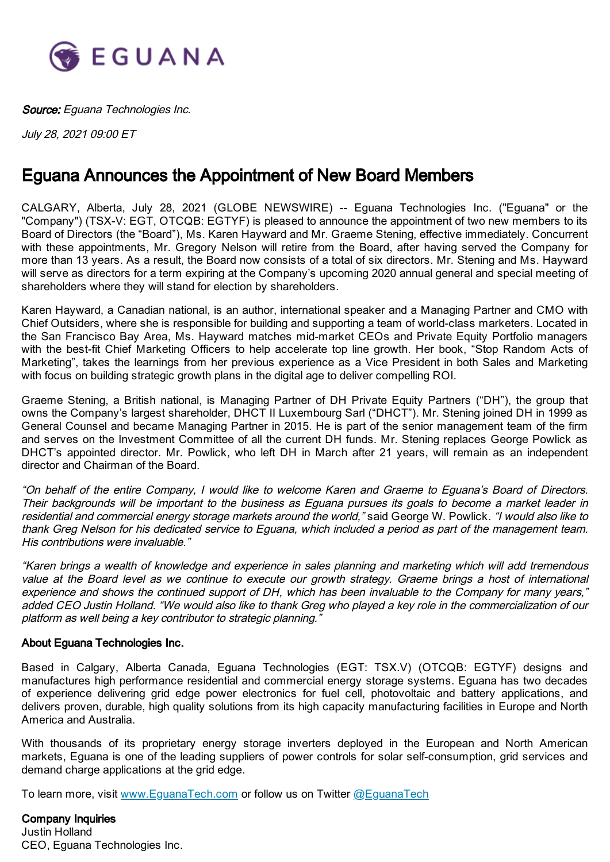

Source: Eguana Technologies Inc.

July 28, 2021 09:00 ET

## Eguana Announces the Appointment of New Board Members

CALGARY, Alberta, July 28, 2021 (GLOBE NEWSWIRE) -- Eguana Technologies Inc. ("Eguana" or the "Company") (TSX-V: EGT, OTCQB: EGTYF) is pleased to announce the appointment of two new members to its Board of Directors (the "Board"), Ms. Karen Hayward and Mr. Graeme Stening, effective immediately. Concurrent with these appointments, Mr. Gregory Nelson will retire from the Board, after having served the Company for more than 13 years. As a result, the Board now consists of a total of six directors. Mr. Stening and Ms. Hayward will serve as directors for a term expiring at the Company's upcoming 2020 annual general and special meeting of shareholders where they will stand for election by shareholders.

Karen Hayward, a Canadian national, is an author, international speaker and a Managing Partner and CMO with Chief Outsiders, where she is responsible for building and supporting a team of world-class marketers. Located in the San Francisco Bay Area, Ms. Hayward matches mid-market CEOs and Private Equity Portfolio managers with the best-fit Chief Marketing Officers to help accelerate top line growth. Her book, "Stop Random Acts of Marketing", takes the learnings from her previous experience as a Vice President in both Sales and Marketing with focus on building strategic growth plans in the digital age to deliver compelling ROI.

Graeme Stening, a British national, is Managing Partner of DH Private Equity Partners ("DH"), the group that owns the Company's largest shareholder, DHCT II Luxembourg Sarl ("DHCT"). Mr. Stening joined DH in 1999 as General Counsel and became Managing Partner in 2015. He is part of the senior management team of the firm and serves on the Investment Committee of all the current DH funds. Mr. Stening replaces George Powlick as DHCT's appointed director. Mr. Powlick, who left DH in March after 21 years, will remain as an independent director and Chairman of the Board.

"On behalf of the entire Company, I would like to welcome Karen and Graeme to Eguana's Board of Directors. Their backgrounds will be important to the business as Eguana pursues its goals to become <sup>a</sup> market leader in residential and commercial energy storage markets around the world," said George W. Powlick. "I would also like to thank Greg Nelson for his dedicated service to Eguana, which included <sup>a</sup> period as part of the management team. His contributions were invaluable."

"Karen brings <sup>a</sup> wealth of knowledge and experience in sales planning and marketing which will add tremendous value at the Board level as we continue to execute our growth strategy. Graeme brings <sup>a</sup> host of international experience and shows the continued support of DH, which has been invaluable to the Company for many years," added CEO Justin Holland. "We would also like to thank Greg who played <sup>a</sup> key role in the commercialization of our platform as well being a key contributor to strategic planning.'

## About Eguana Technologies Inc.

Based in Calgary, Alberta Canada, Eguana Technologies (EGT: TSX.V) (OTCQB: EGTYF) designs and manufactures high performance residential and commercial energy storage systems. Eguana has two decades of experience delivering grid edge power electronics for fuel cell, photovoltaic and battery applications, and delivers proven, durable, high quality solutions from its high capacity manufacturing facilities in Europe and North America and Australia.

With thousands of its proprietary energy storage inverters deployed in the European and North American markets, Eguana is one of the leading suppliers of power controls for solar self-consumption, grid services and demand charge applications at the grid edge.

To learn more, visit www.EquanaTech.com or follow us on Twitter @EquanaTech

Company Inquiries Justin Holland CEO, Eguana Technologies Inc.